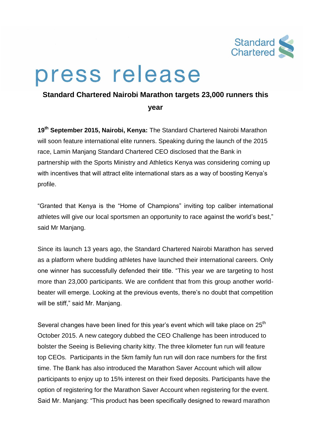

## press release

## **Standard Chartered Nairobi Marathon targets 23,000 runners this**

**year**

**19 th September 2015, Nairobi, Kenya:** The Standard Chartered Nairobi Marathon will soon feature international elite runners. Speaking during the launch of the 2015 race, Lamin Manjang Standard Chartered CEO disclosed that the Bank in partnership with the Sports Ministry and Athletics Kenya was considering coming up with incentives that will attract elite international stars as a way of boosting Kenya's profile.

"Granted that Kenya is the "Home of Champions" inviting top caliber international athletes will give our local sportsmen an opportunity to race against the world's best," said Mr Manjang.

Since its launch 13 years ago, the Standard Chartered Nairobi Marathon has served as a platform where budding athletes have launched their international careers. Only one winner has successfully defended their title. "This year we are targeting to host more than 23,000 participants. We are confident that from this group another worldbeater will emerge. Looking at the previous events, there's no doubt that competition will be stiff," said Mr. Manjang.

Several changes have been lined for this year's event which will take place on 25<sup>th</sup> October 2015. A new category dubbed the CEO Challenge has been introduced to bolster the Seeing is Believing charity kitty. The three kilometer fun run will feature top CEOs. Participants in the 5km family fun run will don race numbers for the first time. The Bank has also introduced the Marathon Saver Account which will allow participants to enjoy up to 15% interest on their fixed deposits. Participants have the option of registering for the Marathon Saver Account when registering for the event. Said Mr. Manjang: "This product has been specifically designed to reward marathon